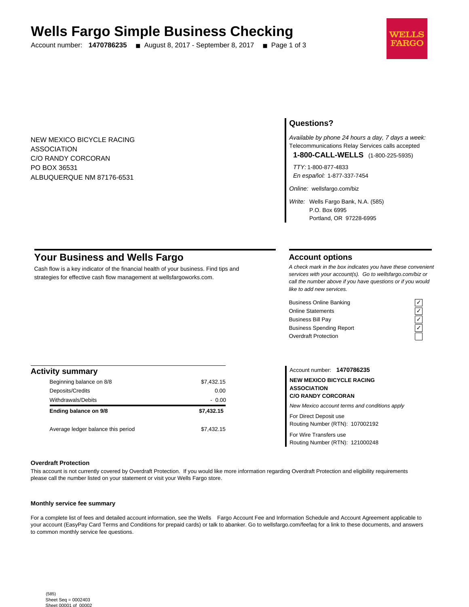# **Wells Fargo Simple Business Checking**

Account number: **1470786235** ■ August 8, 2017 - September 8, 2017 ■ Page 1 of 3



NEW MEXICO BICYCLE RACING ASSOCIATION C/O RANDY CORCORAN PO BOX 36531 ALBUQUERQUE NM 87176-6531

### **Questions?**

Available by phone 24 hours a day, 7 days a week: Telecommunications Relay Services calls accepted

**1-800-CALL-WELLS** (1-800-225-5935)

TTY: 1-800-877-4833 En español: 1-877-337-7454

Online: wellsfargo.com/biz

Write: Wells Fargo Bank, N.A. (585) P.O. Box 6995 Portland, OR 97228-6995

### **Your Business and Wells Fargo**

Cash flow is a key indicator of the financial health of your business. Find tips and strategies for effective cash flow management at wellsfargoworks.com.

### **Account options**

A check mark in the box indicates you have these convenient services with your account(s). Go to wellsfargo.com/biz or call the number above if you have questions or if you would like to add new services.

Business Online Banking<br>
Online Statements<br>
Business Bill Pay<br>
Business Spending Report<br>  $\overline{C}$ <br>
Overdraft Protection Online Statements ✓ Business Bill Pay Business Spending Report Overdraft Protection



| <b>Activity summary</b>            |            |
|------------------------------------|------------|
| Beginning balance on 8/8           | \$7,432.15 |
| Deposits/Credits                   | 0.00       |
| Withdrawals/Debits                 | $-0.00$    |
| Ending balance on 9/8              | \$7.432.15 |
| Average ledger balance this period | \$7,432.15 |

Account number: **1470786235 NEW MEXICO BICYCLE RACING ASSOCIATION C/O RANDY CORCORAN** New Mexico account terms and conditions apply For Direct Deposit use Routing Number (RTN): 107002192 For Wire Transfers use

Routing Number (RTN): 121000248

#### **Overdraft Protection**

This account is not currently covered by Overdraft Protection. If you would like more information regarding Overdraft Protection and eligibility requirements please call the number listed on your statement or visit your Wells Fargo store.

#### **Monthly service fee summary**

For a complete list of fees and detailed account information, see the Wells Fargo Account Fee and Information Schedule and Account Agreement applicable to your account (EasyPay Card Terms and Conditions for prepaid cards) or talk to abanker. Go to wellsfargo.com/feefaq for a link to these documents, and answers to common monthly service fee questions.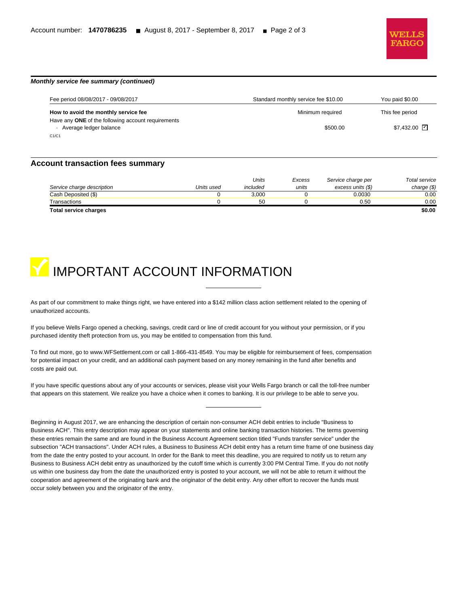

## **Monthly service fee summary (continued)**

| Fee period 08/08/2017 - 09/08/2017                                           | Standard monthly service fee \$10.00 | You paid \$0.00            |
|------------------------------------------------------------------------------|--------------------------------------|----------------------------|
| How to avoid the monthly service fee                                         | Minimum required                     | This fee period            |
| Have any ONE of the following account requirements<br>Average ledger balance | \$500.00                             | $$7.432.00$ $\overline{V}$ |
| C1/C1                                                                        |                                      |                            |

### **Account transaction fees summary**

|                              |            | Units    | Excess | Service charge per | Total service |
|------------------------------|------------|----------|--------|--------------------|---------------|
| Service charge description   | Units used | included | units  | excess units (\$)  | charge $(\$)$ |
| Cash Deposited (\$)          |            | 3.000    |        | 0.0030             | 0.00          |
| Transactions                 |            | 50       |        | 0.50               | 0.00          |
| <b>Total service charges</b> |            |          |        |                    | \$0.00        |

# **IMPORTANT ACCOUNT INFORMATION**

As part of our commitment to make things right, we have entered into a \$142 million class action settlement related to the opening of unauthorized accounts.

If you believe Wells Fargo opened a checking, savings, credit card or line of credit account for you without your permission, or if you purchased identity theft protection from us, you may be entitled to compensation from this fund.

To find out more, go to www.WFSettlement.com or call 1-866-431-8549. You may be eligible for reimbursement of fees, compensation for potential impact on your credit, and an additional cash payment based on any money remaining in the fund after benefits and costs are paid out.

If you have specific questions about any of your accounts or services, please visit your Wells Fargo branch or call the toll-free number that appears on this statement. We realize you have a choice when it comes to banking. It is our privilege to be able to serve you.

Beginning in August 2017, we are enhancing the description of certain non-consumer ACH debit entries to include "Business to Business ACH". This entry description may appear on your statements and online banking transaction histories. The terms governing these entries remain the same and are found in the Business Account Agreement section titled "Funds transfer service" under the subsection "ACH transactions". Under ACH rules, a Business to Business ACH debit entry has a return time frame of one business day from the date the entry posted to your account. In order for the Bank to meet this deadline, you are required to notify us to return any Business to Business ACH debit entry as unauthorized by the cutoff time which is currently 3:00 PM Central Time. If you do not notify us within one business day from the date the unauthorized entry is posted to your account, we will not be able to return it without the cooperation and agreement of the originating bank and the originator of the debit entry. Any other effort to recover the funds must occur solely between you and the originator of the entry.